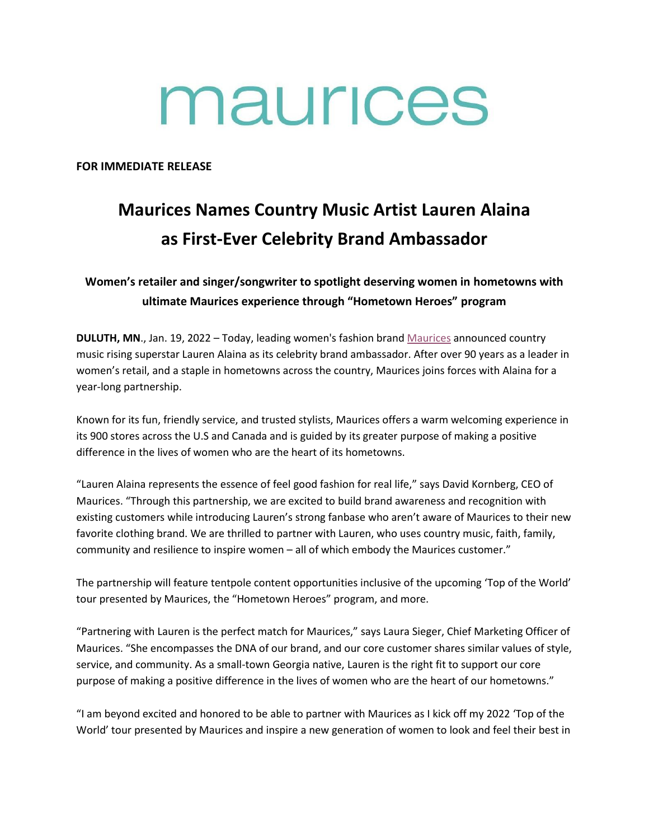# maurices

**FOR IMMEDIATE RELEASE**

## **Maurices Names Country Music Artist Lauren Alaina as First-Ever Celebrity Brand Ambassador**

### **Women's retailer and singer/songwriter to spotlight deserving women in hometowns with ultimate Maurices experience through "Hometown Heroes" program**

**DULUTH, MN**., Jan. 19, 2022 – Today, leading women's fashion brand [Maurices](https://www.maurices.com/) announced country music rising superstar Lauren Alaina as its celebrity brand ambassador. After over 90 years as a leader in women's retail, and a staple in hometowns across the country, Maurices joins forces with Alaina for a year-long partnership.

Known for its fun, friendly service, and trusted stylists, Maurices offers a warm welcoming experience in its 900 stores across the U.S and Canada and is guided by its greater purpose of making a positive difference in the lives of women who are the heart of its hometowns.

"Lauren Alaina represents the essence of feel good fashion for real life," says David Kornberg, CEO of Maurices. "Through this partnership, we are excited to build brand awareness and recognition with existing customers while introducing Lauren's strong fanbase who aren't aware of Maurices to their new favorite clothing brand. We are thrilled to partner with Lauren, who uses country music, faith, family, community and resilience to inspire women – all of which embody the Maurices customer."

The partnership will feature tentpole content opportunities inclusive of the upcoming 'Top of the World' tour presented by Maurices, the "Hometown Heroes" program, and more.

"Partnering with Lauren is the perfect match for Maurices," says Laura Sieger, Chief Marketing Officer of Maurices. "She encompasses the DNA of our brand, and our core customer shares similar values of style, service, and community. As a small-town Georgia native, Lauren is the right fit to support our core purpose of making a positive difference in the lives of women who are the heart of our hometowns."

"I am beyond excited and honored to be able to partner with Maurices as I kick off my 2022 'Top of the World' tour presented by Maurices and inspire a new generation of women to look and feel their best in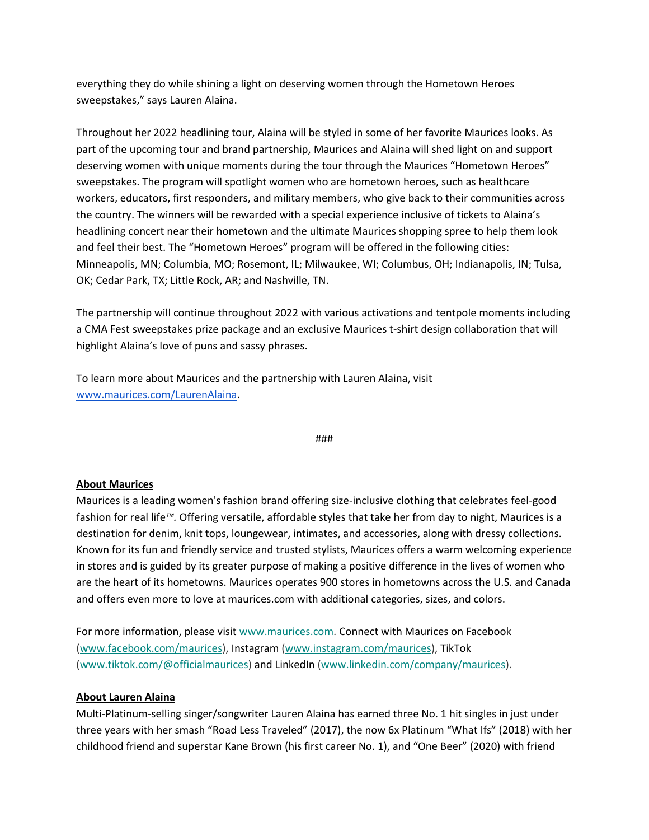everything they do while shining a light on deserving women through the Hometown Heroes sweepstakes," says Lauren Alaina.

Throughout her 2022 headlining tour, Alaina will be styled in some of her favorite Maurices looks. As part of the upcoming tour and brand partnership, Maurices and Alaina will shed light on and support deserving women with unique moments during the tour through the Maurices "Hometown Heroes" sweepstakes. The program will spotlight women who are hometown heroes, such as healthcare workers, educators, first responders, and military members, who give back to their communities across the country. The winners will be rewarded with a special experience inclusive of tickets to Alaina's headlining concert near their hometown and the ultimate Maurices shopping spree to help them look and feel their best. The "Hometown Heroes" program will be offered in the following cities: Minneapolis, MN; Columbia, MO; Rosemont, IL; Milwaukee, WI; Columbus, OH; Indianapolis, IN; Tulsa, OK; Cedar Park, TX; Little Rock, AR; and Nashville, TN.

The partnership will continue throughout 2022 with various activations and tentpole moments including a CMA Fest sweepstakes prize package and an exclusive Maurices t-shirt design collaboration that will highlight Alaina's love of puns and sassy phrases.

To learn more about Maurices and the partnership with Lauren Alaina, visit [www.maurices.com/](http://www.maurices.com/)LaurenAlaina.

#### ###

#### **About Maurices**

Maurices is a leading women's fashion brand offering size-inclusive clothing that celebrates feel-good fashion for real life*™.* Offering versatile, affordable styles that take her from day to night, Maurices is a destination for denim, knit tops, loungewear, intimates, and accessories, along with dressy collections. Known for its fun and friendly service and trusted stylists, Maurices offers a warm welcoming experience in stores and is guided by its greater purpose of making a positive difference in the lives of women who are the heart of its hometowns. Maurices operates 900 stores in hometowns across the U.S. and Canada and offers even more to love at maurices.com with additional categories, sizes, and colors.

For more information, please visi[t www.maurices.com.](https://c212.net/c/link/?t=0&l=en&o=3352761-1&h=686338365&u=http%3A%2F%2Fwww.maurices.com%2F&a=www.maurices.com) Connect with Maurices on Facebook [\(www.facebook.com/maurices\)](https://c212.net/c/link/?t=0&l=en&o=3352761-1&h=423800755&u=http%3A%2F%2Fwww.facebook.com%2Fmaurices&a=www.facebook.com%2Fmaurices), Instagram [\(www.instagram.com/maurices\)](https://c212.net/c/link/?t=0&l=en&o=3352761-1&h=3978272362&u=http%3A%2F%2Fwww.instagram.com%2Fmaurices&a=www.instagram.com%2Fmaurices), TikTok [\(www.tiktok.com/@officialmaurices\)](https://c212.net/c/link/?t=0&l=en&o=3352761-1&h=1305119934&u=http%3A%2F%2Fwww.tiktok.com%2F%40officialmaurices&a=www.tiktok.com%2F%40officialmaurices) and LinkedIn [\(www.linkedin.com/company/maurices\)](https://c212.net/c/link/?t=0&l=en&o=3352761-1&h=1797403464&u=http%3A%2F%2Fwww.linkedin.com%2Fcompany%2Fmaurices&a=www.linkedin.com%2Fcompany%2Fmaurices).

#### **About Lauren Alaina**

Multi-Platinum-selling singer/songwriter Lauren Alaina has earned three No. 1 hit singles in just under three years with her smash "Road Less Traveled" (2017), the now 6x Platinum "What Ifs" (2018) with her childhood friend and superstar Kane Brown (his first career No. 1), and "One Beer" (2020) with friend